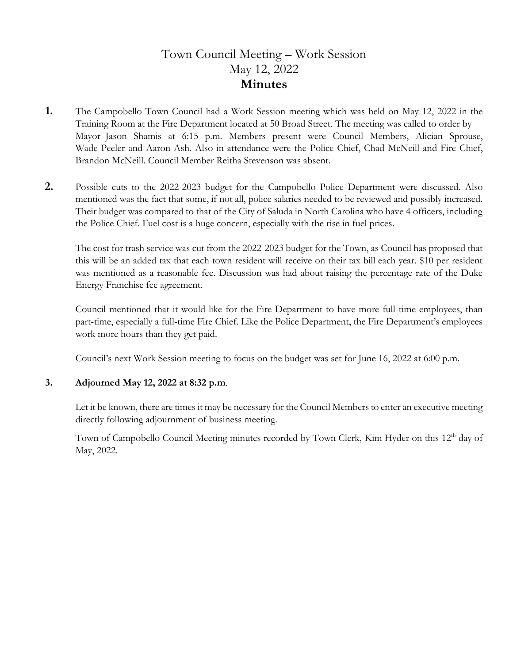# Town Council Meeting – Work Session May 12, 2022 **Minutes**

- **1.** The Campobello Town Council had a Work Session meeting which was held on May 12, 2022 in the Training Room at the Fire Department located at 50 Broad Street. The meeting was called to order by Mayor Jason Shamis at 6:15 p.m. Members present were Council Members, Alician Sprouse, Wade Peeler and Aaron Ash. Also in attendance were the Police Chief, Chad McNeill and Fire Chief, Brandon McNeill. Council Member Reitha Stevenson was absent.
- **2.** Possible cuts to the 2022-2023 budget for the Campobello Police Department were discussed. Also mentioned was the fact that some, if not all, police salaries needed to be reviewed and possibly increased. Their budget was compared to that of the City of Saluda in North Carolina who have 4 officers, including the Police Chief. Fuel cost is a huge concern, especially with the rise in fuel prices.

The cost for trash service was cut from the 2022-2023 budget for the Town, as Council has proposed that this will be an added tax that each town resident will receive on their tax bill each year. \$10 per resident was mentioned as a reasonable fee. Discussion was had about raising the percentage rate of the Duke Energy Franchise fee agreement.

Council mentioned that it would like for the Fire Department to have more full-time employees, than part-time, especially a full-time Fire Chief. Like the Police Department, the Fire Department's employees work more hours than they get paid.

Council's next Work Session meeting to focus on the budget was set for June 16, 2022 at 6:00 p.m.

#### **3. Adjourned May 12, 2022 at 8:32 p.m**.

 Let it be known, there are times it may be necessary for the Council Members to enter an executive meeting directly following adjournment of business meeting.

Town of Campobello Council Meeting minutes recorded by Town Clerk, Kim Hyder on this 12<sup>th</sup> day of May, 2022.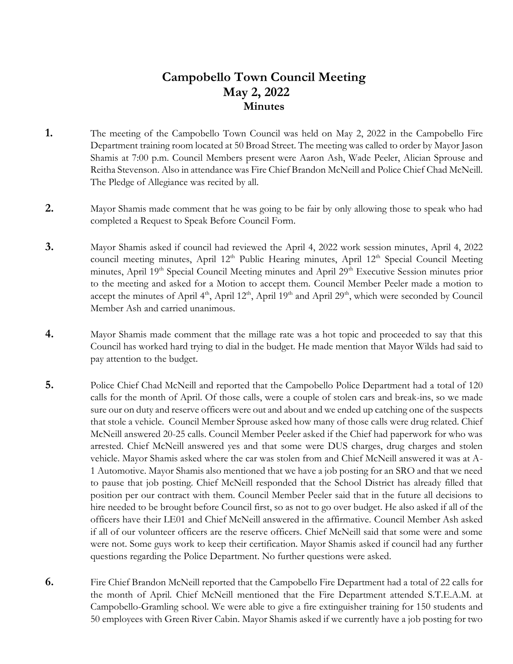### **Campobello Town Council Meeting May 2, 2022 Minutes**

- **1.** The meeting of the Campobello Town Council was held on May 2, 2022 in the Campobello Fire Department training room located at 50 Broad Street. The meeting was called to order by Mayor Jason Shamis at 7:00 p.m. Council Members present were Aaron Ash, Wade Peeler, Alician Sprouse and Reitha Stevenson. Also in attendance was Fire Chief Brandon McNeill and Police Chief Chad McNeill. The Pledge of Allegiance was recited by all.
- **2.** Mayor Shamis made comment that he was going to be fair by only allowing those to speak who had completed a Request to Speak Before Council Form.
- **3.** Mayor Shamis asked if council had reviewed the April 4, 2022 work session minutes, April 4, 2022 council meeting minutes, April 12<sup>th</sup> Public Hearing minutes, April 12<sup>th</sup> Special Council Meeting minutes, April 19<sup>th</sup> Special Council Meeting minutes and April 29<sup>th</sup> Executive Session minutes prior to the meeting and asked for a Motion to accept them. Council Member Peeler made a motion to accept the minutes of April  $4<sup>th</sup>$ , April  $12<sup>th</sup>$ , April  $19<sup>th</sup>$  and April  $29<sup>th</sup>$ , which were seconded by Council Member Ash and carried unanimous.
- **4.** Mayor Shamis made comment that the millage rate was a hot topic and proceeded to say that this Council has worked hard trying to dial in the budget. He made mention that Mayor Wilds had said to pay attention to the budget.
- **5.** Police Chief Chad McNeill and reported that the Campobello Police Department had a total of 120 calls for the month of April. Of those calls, were a couple of stolen cars and break-ins, so we made sure our on duty and reserve officers were out and about and we ended up catching one of the suspects that stole a vehicle. Council Member Sprouse asked how many of those calls were drug related. Chief McNeill answered 20-25 calls. Council Member Peeler asked if the Chief had paperwork for who was arrested. Chief McNeill answered yes and that some were DUS charges, drug charges and stolen vehicle. Mayor Shamis asked where the car was stolen from and Chief McNeill answered it was at A-1 Automotive. Mayor Shamis also mentioned that we have a job posting for an SRO and that we need to pause that job posting. Chief McNeill responded that the School District has already filled that position per our contract with them. Council Member Peeler said that in the future all decisions to hire needed to be brought before Council first, so as not to go over budget. He also asked if all of the officers have their LE01 and Chief McNeill answered in the affirmative. Council Member Ash asked if all of our volunteer officers are the reserve officers. Chief McNeill said that some were and some were not. Some guys work to keep their certification. Mayor Shamis asked if council had any further questions regarding the Police Department. No further questions were asked.
- **6.** Fire Chief Brandon McNeill reported that the Campobello Fire Department had a total of 22 calls for the month of April. Chief McNeill mentioned that the Fire Department attended S.T.E.A.M. at Campobello-Gramling school. We were able to give a fire extinguisher training for 150 students and 50 employees with Green River Cabin. Mayor Shamis asked if we currently have a job posting for two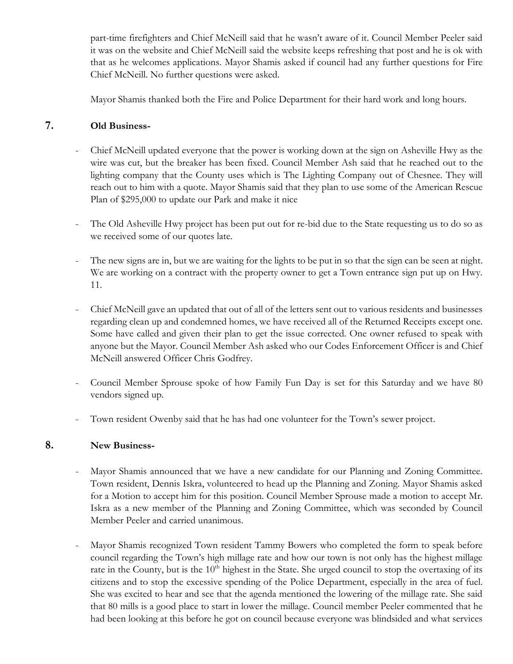part-time firefighters and Chief McNeill said that he wasn't aware of it. Council Member Peeler said it was on the website and Chief McNeill said the website keeps refreshing that post and he is ok with that as he welcomes applications. Mayor Shamis asked if council had any further questions for Fire Chief McNeill. No further questions were asked.

Mayor Shamis thanked both the Fire and Police Department for their hard work and long hours.

### **7. Old Business-**

- Chief McNeill updated everyone that the power is working down at the sign on Asheville Hwy as the wire was cut, but the breaker has been fixed. Council Member Ash said that he reached out to the lighting company that the County uses which is The Lighting Company out of Chesnee. They will reach out to him with a quote. Mayor Shamis said that they plan to use some of the American Rescue Plan of \$295,000 to update our Park and make it nice
- The Old Asheville Hwy project has been put out for re-bid due to the State requesting us to do so as we received some of our quotes late.
- The new signs are in, but we are waiting for the lights to be put in so that the sign can be seen at night. We are working on a contract with the property owner to get a Town entrance sign put up on Hwy. 11.
- Chief McNeill gave an updated that out of all of the letters sent out to various residents and businesses regarding clean up and condemned homes, we have received all of the Returned Receipts except one. Some have called and given their plan to get the issue corrected. One owner refused to speak with anyone but the Mayor. Council Member Ash asked who our Codes Enforcement Officer is and Chief McNeill answered Officer Chris Godfrey.
- Council Member Sprouse spoke of how Family Fun Day is set for this Saturday and we have 80 vendors signed up.
- Town resident Owenby said that he has had one volunteer for the Town's sewer project.

#### **8. New Business-**

- Mayor Shamis announced that we have a new candidate for our Planning and Zoning Committee. Town resident, Dennis Iskra, volunteered to head up the Planning and Zoning. Mayor Shamis asked for a Motion to accept him for this position. Council Member Sprouse made a motion to accept Mr. Iskra as a new member of the Planning and Zoning Committee, which was seconded by Council Member Peeler and carried unanimous.
- Mayor Shamis recognized Town resident Tammy Bowers who completed the form to speak before council regarding the Town's high millage rate and how our town is not only has the highest millage rate in the County, but is the  $10<sup>th</sup>$  highest in the State. She urged council to stop the overtaxing of its citizens and to stop the excessive spending of the Police Department, especially in the area of fuel. She was excited to hear and see that the agenda mentioned the lowering of the millage rate. She said that 80 mills is a good place to start in lower the millage. Council member Peeler commented that he had been looking at this before he got on council because everyone was blindsided and what services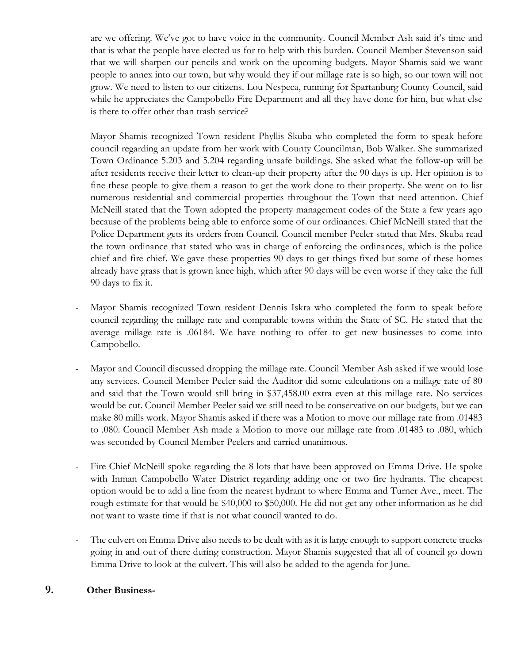are we offering. We've got to have voice in the community. Council Member Ash said it's time and that is what the people have elected us for to help with this burden. Council Member Stevenson said that we will sharpen our pencils and work on the upcoming budgets. Mayor Shamis said we want people to annex into our town, but why would they if our millage rate is so high, so our town will not grow. We need to listen to our citizens. Lou Nespeca, running for Spartanburg County Council, said while he appreciates the Campobello Fire Department and all they have done for him, but what else is there to offer other than trash service?

- Mayor Shamis recognized Town resident Phyllis Skuba who completed the form to speak before council regarding an update from her work with County Councilman, Bob Walker. She summarized Town Ordinance 5.203 and 5.204 regarding unsafe buildings. She asked what the follow-up will be after residents receive their letter to clean-up their property after the 90 days is up. Her opinion is to fine these people to give them a reason to get the work done to their property. She went on to list numerous residential and commercial properties throughout the Town that need attention. Chief McNeill stated that the Town adopted the property management codes of the State a few years ago because of the problems being able to enforce some of our ordinances. Chief McNeill stated that the Police Department gets its orders from Council. Council member Peeler stated that Mrs. Skuba read the town ordinance that stated who was in charge of enforcing the ordinances, which is the police chief and fire chief. We gave these properties 90 days to get things fixed but some of these homes already have grass that is grown knee high, which after 90 days will be even worse if they take the full 90 days to fix it.
- Mayor Shamis recognized Town resident Dennis Iskra who completed the form to speak before council regarding the millage rate and comparable towns within the State of SC. He stated that the average millage rate is .06184. We have nothing to offer to get new businesses to come into Campobello.
- Mayor and Council discussed dropping the millage rate. Council Member Ash asked if we would lose any services. Council Member Peeler said the Auditor did some calculations on a millage rate of 80 and said that the Town would still bring in \$37,458.00 extra even at this millage rate. No services would be cut. Council Member Peeler said we still need to be conservative on our budgets, but we can make 80 mills work. Mayor Shamis asked if there was a Motion to move our millage rate from .01483 to .080. Council Member Ash made a Motion to move our millage rate from .01483 to .080, which was seconded by Council Member Peelers and carried unanimous.
- Fire Chief McNeill spoke regarding the 8 lots that have been approved on Emma Drive. He spoke with Inman Campobello Water District regarding adding one or two fire hydrants. The cheapest option would be to add a line from the nearest hydrant to where Emma and Turner Ave., meet. The rough estimate for that would be \$40,000 to \$50,000. He did not get any other information as he did not want to waste time if that is not what council wanted to do.
- The culvert on Emma Drive also needs to be dealt with as it is large enough to support concrete trucks going in and out of there during construction. Mayor Shamis suggested that all of council go down Emma Drive to look at the culvert. This will also be added to the agenda for June.

#### **9. Other Business-**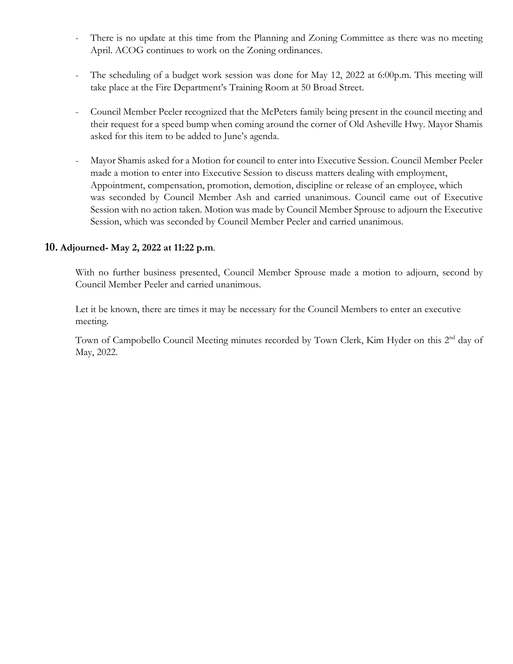- There is no update at this time from the Planning and Zoning Committee as there was no meeting April. ACOG continues to work on the Zoning ordinances.
- The scheduling of a budget work session was done for May 12, 2022 at 6:00p.m. This meeting will take place at the Fire Department's Training Room at 50 Broad Street.
- Council Member Peeler recognized that the McPeters family being present in the council meeting and their request for a speed bump when coming around the corner of Old Asheville Hwy. Mayor Shamis asked for this item to be added to June's agenda.
- Mayor Shamis asked for a Motion for council to enter into Executive Session. Council Member Peeler made a motion to enter into Executive Session to discuss matters dealing with employment, Appointment, compensation, promotion, demotion, discipline or release of an employee, which was seconded by Council Member Ash and carried unanimous. Council came out of Executive Session with no action taken. Motion was made by Council Member Sprouse to adjourn the Executive Session, which was seconded by Council Member Peeler and carried unanimous.

#### **10. Adjourned- May 2, 2022 at 11:22 p.m**.

With no further business presented, Council Member Sprouse made a motion to adjourn, second by Council Member Peeler and carried unanimous.

 Let it be known, there are times it may be necessary for the Council Members to enter an executive meeting.

Town of Campobello Council Meeting minutes recorded by Town Clerk, Kim Hyder on this 2<sup>nd</sup> day of May, 2022.